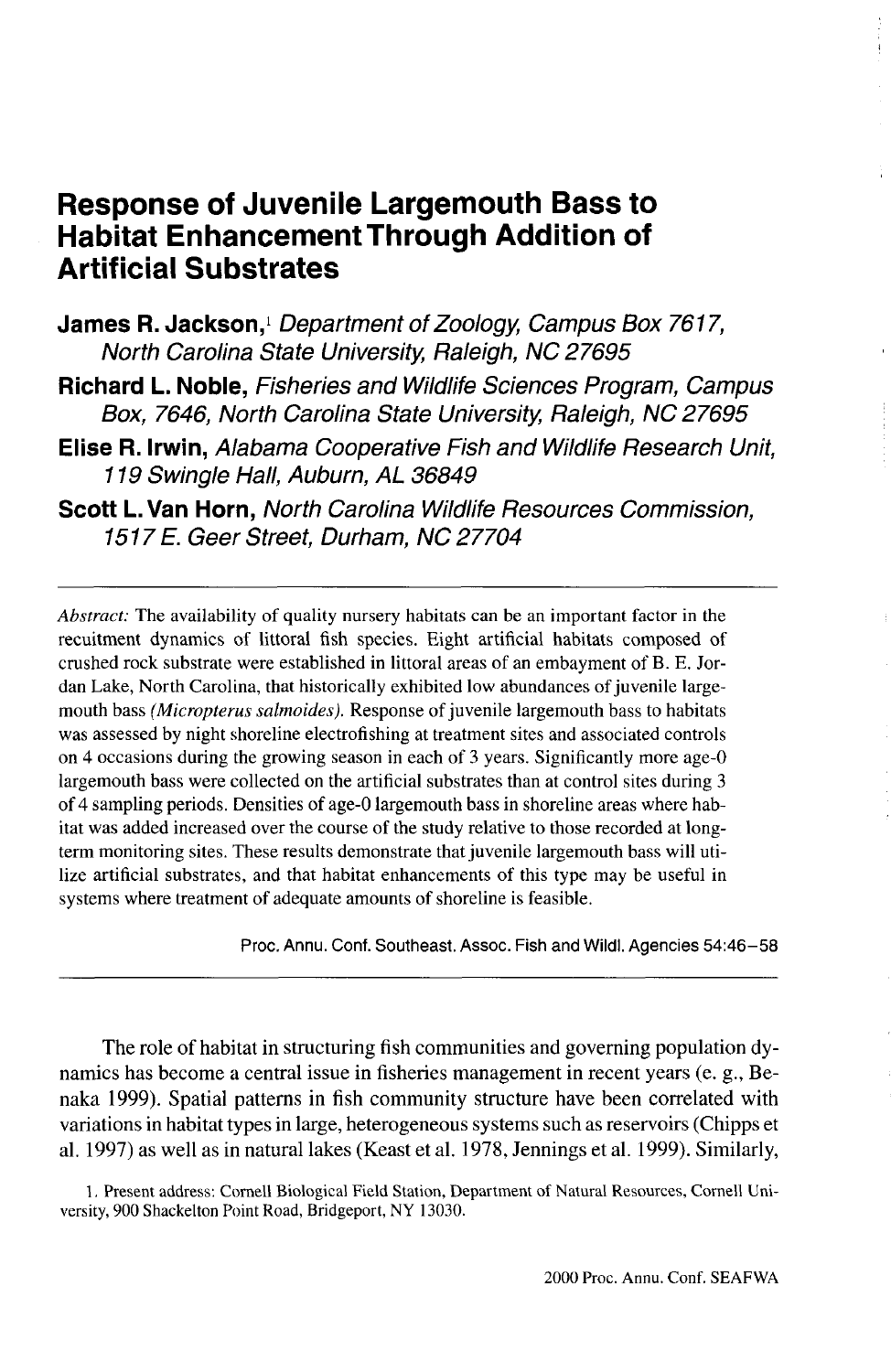# **Response of Juvenile Largemouth Bass to Habitat Enhancement Through Addition of Artificial Substrates**

- James R. Jackson,<sup>1</sup> Department of Zoology, Campus Box 7617, North Carolina State University, Raleigh, NC 27695
- **Richard L. Noble,** Fisheries and Wildlife Sciences Program, Campus Box, 7646, North Carolina State University, Raleigh, NC 27695
- **Elise R. Irwin,** Alabama Cooperative Fish and Wildlife Research Unit, 119 Swingle Hall, Auburn, AL 36849
- **Scott L. Van Horn,** North Carolina Wildlife Resources Commission, 1517 E. Geer Street, Durham, NC 27704

*Abstract:* The availability of quality nursery habitats can be an important factor in the recuitment dynamics of littoral fish species. Eight artificial habitats composed of crushed rock substrate were established in littoral areas of an embayment of B. E. Jordan Lake, North Carolina, that historically exhibited low abundances of juvenile largemouth bass *(Micmpterus salmoides).* Response of juvenile largemouth bass to habitats was assessed by night shoreline electrofishing at treatment sites and associated controls on 4 occasions during the growing season in each of 3 years. Significantly more age-0 largemouth bass were collected on the artificial substrates than at control sites during 3 of 4 sampling periods. Densities of age-0 largemouth bass in shoreline areas where habitat was added increased over the course of the study relative to those recorded at longterm monitoring sites. These results demonstrate that juvenile largemouth bass will utilize artificial substrates, and that habitat enhancements of this type may be useful in systems where treatment of adequate amounts of shoreline is feasible.

Proc. Annu. Conf. Southeast. Assoc. Fish and Wildl. Agencies 54:46-58

The role of habitat in structuring fish communities and governing population dynamics has become a central issue in fisheries management in recent years (e. g., Benaka 1999). Spatial patterns in fish community structure have been correlated with variations in habitat types in large, heterogeneous systems such as reservoirs (Chipps et al. 1997) as well as in natural lakes (Keast et al. 1978, Jennings et al. 1999). Similarly,

1. Present address: Cornell Biological Field Station, Department of Natural Resources, Cornell University, 900 Shackelton Point Road, Bridgeport, NY 13030.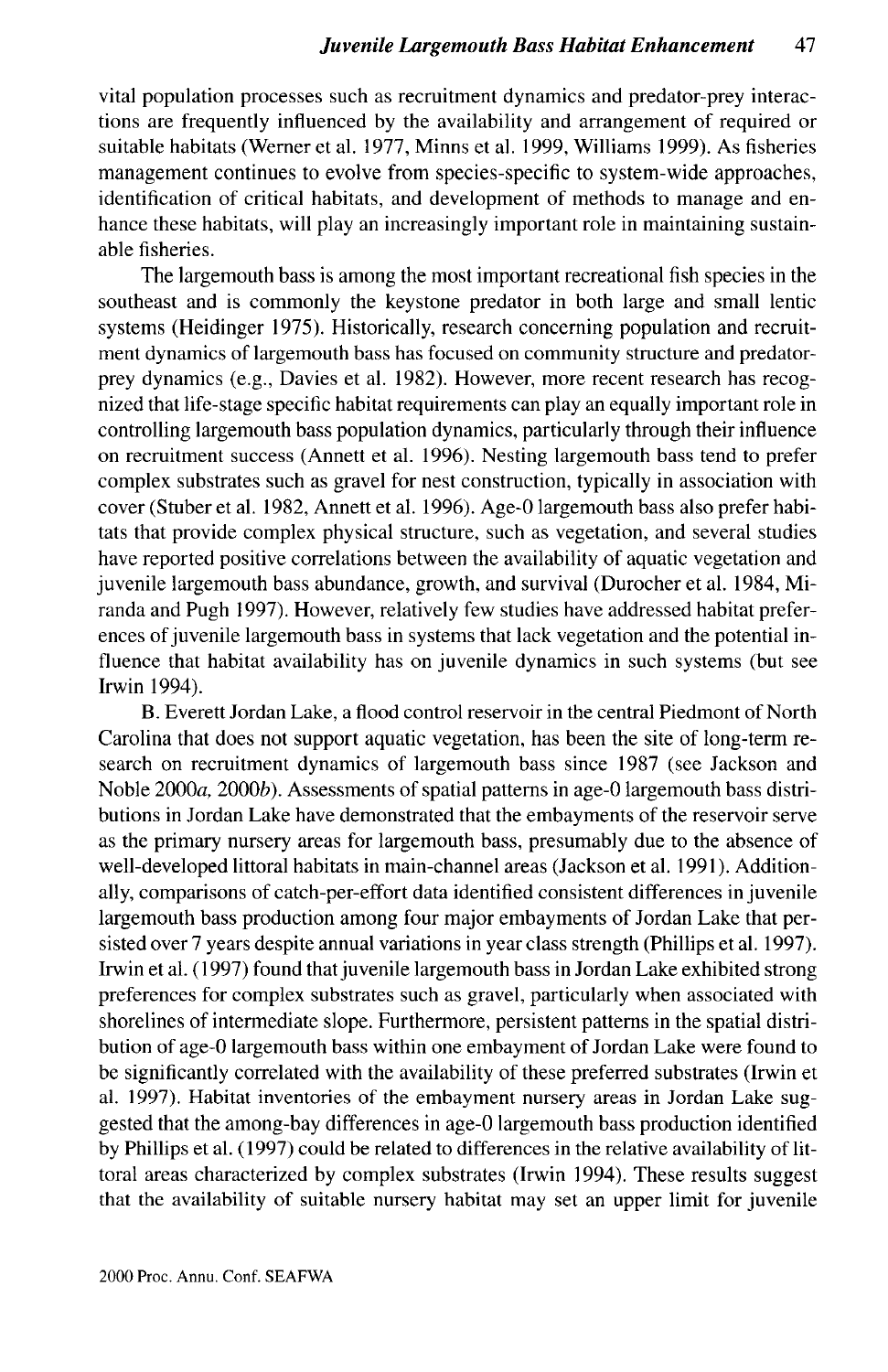vital population processes such as recruitment dynamics and predator-prey interactions are frequently influenced by the availability and arrangement of required or suitable habitats (Werner et al. 1977, Minns et al. 1999, Williams 1999). As fisheries management continues to evolve from species-specific to system-wide approaches, identification of critical habitats, and development of methods to manage and enhance these habitats, will play an increasingly important role in maintaining sustainable fisheries.

The largemouth bass is among the most important recreational fish species in the southeast and is commonly the keystone predator in both large and small lentic systems (Heidinger 1975). Historically, research concerning population and recruitment dynamics of largemouth bass has focused on community structure and predatorprey dynamics (e.g., Davies et al. 1982). However, more recent research has recognized that life-stage specific habitat requirements can play an equally important role in controlling largemouth bass population dynamics, particularly through their influence on recruitment success (Annett et al. 1996). Nesting largemouth bass tend to prefer complex substrates such as gravel for nest construction, typically in association with cover (Stuber et al. 1982, Annett et al. 1996). Age-0 largemouth bass also prefer habitats that provide complex physical structure, such as vegetation, and several studies have reported positive correlations between the availability of aquatic vegetation and juvenile largemouth bass abundance, growth, and survival (Durocher et al. 1984, Miranda and Pugh 1997). However, relatively few studies have addressed habitat preferences of juvenile largemouth bass in systems that lack vegetation and the potential influence that habitat availability has on juvenile dynamics in such systems (but see Irwin 1994).

B. Everett Jordan Lake, a flood control reservoir in the central Piedmont of North Carolina that does not support aquatic vegetation, has been the site of long-term research on recruitment dynamics of largemouth bass since 1987 (see Jackson and Noble 2000a, 2000b). Assessments of spatial patterns in age-0 largemouth bass distributions in Jordan Lake have demonstrated that the embayments of the reservoir serve as the primary nursery areas for largemouth bass, presumably due to the absence of well-developed littoral habitats in main-channel areas (Jackson et al. 1991). Additionally, comparisons of catch-per-effort data identified consistent differences in juvenile largemouth bass production among four major embayments of Jordan Lake that persisted over 7 years despite annual variations in year class strength (Phillips et al. 1997). Irwin et al. (1997) found that juvenile largemouth bass in Jordan Lake exhibited strong preferences for complex substrates such as gravel, particularly when associated with shorelines of intermediate slope. Furthermore, persistent patterns in the spatial distribution of age-0 largemouth bass within one embayment of Jordan Lake were found to be significantly correlated with the availability of these preferred substrates (Irwin et al. 1997). Habitat inventories of the embayment nursery areas in Jordan Lake suggested that the among-bay differences in age-0 largemouth bass production identified by Phillips et al. (1997) could be related to differences in the relative availability of littoral areas characterized by complex substrates (Irwin 1994). These results suggest that the availability of suitable nursery habitat may set an upper limit for juvenile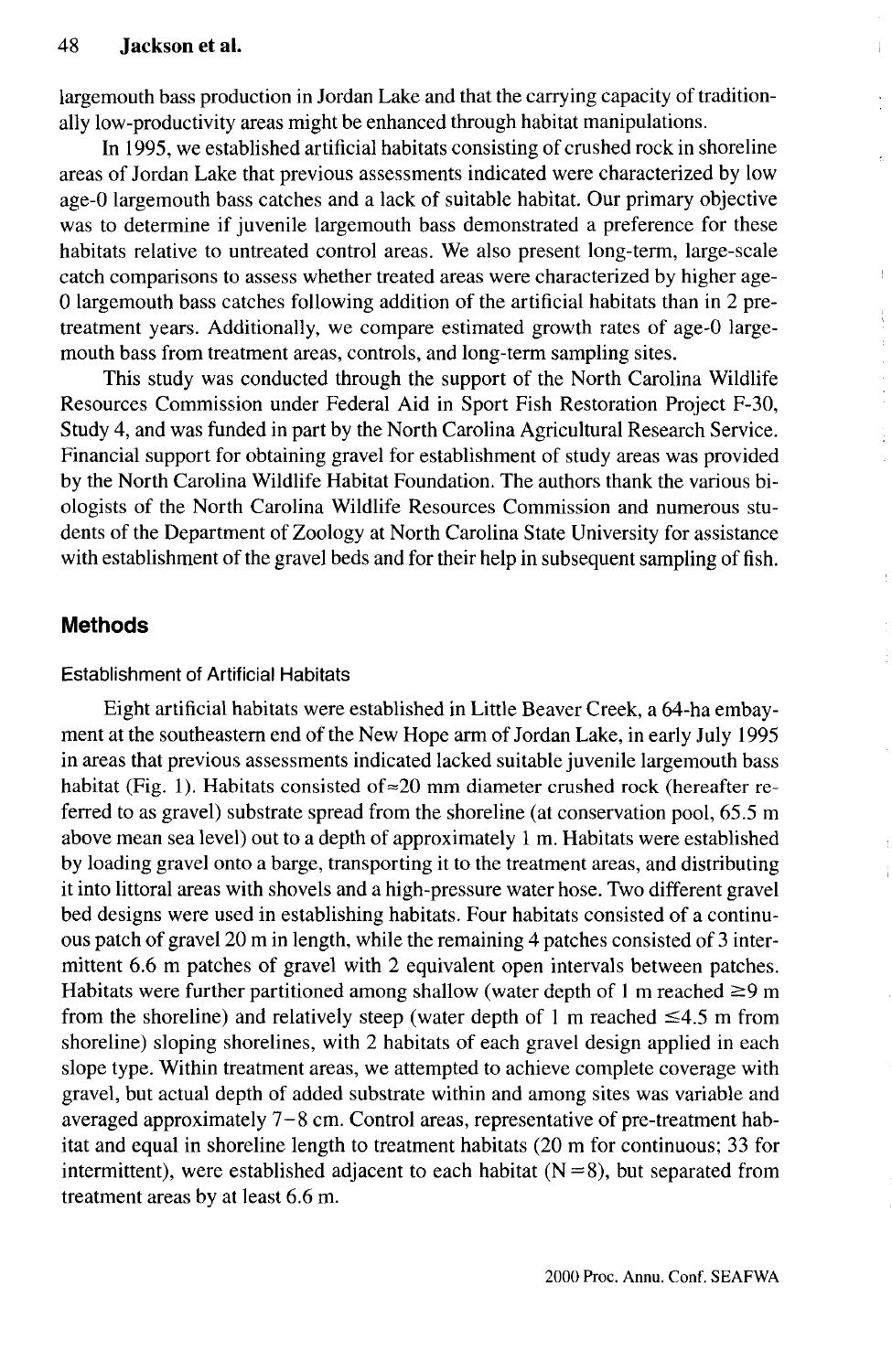largemouth bass production in Jordan Lake and that the carrying capacity of traditionally low-productivity areas might be enhanced through habitat manipulations.

In 1995, we established artificial habitats consisting of crushed rock in shoreline areas of Jordan Lake that previous assessments indicated were characterized by low age-0 largemouth bass catches and a lack of suitable habitat. Our primary objective was to determine if juvenile largemouth bass demonstrated a preference for these habitats relative to untreated control areas. We also present long-term, large-scale catch comparisons to assess whether treated areas were characterized by higher age-0 largemouth bass catches following addition of the artificial habitats than in 2 pretreatment years. Additionally, we compare estimated growth rates of age-0 largemouth bass from treatment areas, controls, and long-term sampling sites.

This study was conducted through the support of the North Carolina Wildlife Resources Commission under Federal Aid in Sport Fish Restoration Project F-30, Study 4, and was funded in part by the North Carolina Agricultural Research Service. Financial support for obtaining gravel for establishment of study areas was provided by the North Carolina Wildlife Habitat Foundation. The authors thank the various biologists of the North Carolina Wildlife Resources Commission and numerous students of the Department of Zoology at North Carolina State University for assistance with establishment of the gravel beds and for their help in subsequent sampling of fish.

# **Methods**

#### Establishment of Artificial Habitats

Eight artificial habitats were established in Little Beaver Creek, a 64-ha embayment at the southeastern end of the New Hope arm of Jordan Lake, in early July 1995 in areas that previous assessments indicated lacked suitable juvenile largemouth bass habitat (Fig. 1). Habitats consisted of  $\approx$  20 mm diameter crushed rock (hereafter referred to as gravel) substrate spread from the shoreline (at conservation pool, 65.5 m above mean sea level) out to a depth of approximately 1 m. Habitats were established by loading gravel onto a barge, transporting it to the treatment areas, and distributing it into littoral areas with shovels and a high-pressure water hose. Two different gravel bed designs were used in establishing habitats. Four habitats consisted of a continuous patch of gravel 20 m in length, while the remaining 4 patches consisted of 3 intermittent 6.6 m patches of gravel with 2 equivalent open intervals between patches. Habitats were further partitioned among shallow (water depth of 1 m reached  $\geq$ 9 m from the shoreline) and relatively steep (water depth of 1 m reached  $\leq 4.5$  m from shoreline) sloping shorelines, with 2 habitats of each gravel design applied in each slope type. Within treatment areas, we attempted to achieve complete coverage with gravel, but actual depth of added substrate within and among sites was variable and averaged approximately  $7-8$  cm. Control areas, representative of pre-treatment habitat and equal in shoreline length to treatment habitats (20 m for continuous; 33 for intermittent), were established adjacent to each habitat  $(N=8)$ , but separated from treatment areas by at least 6.6 m.

Ļ  $\frac{1}{3}$ ł.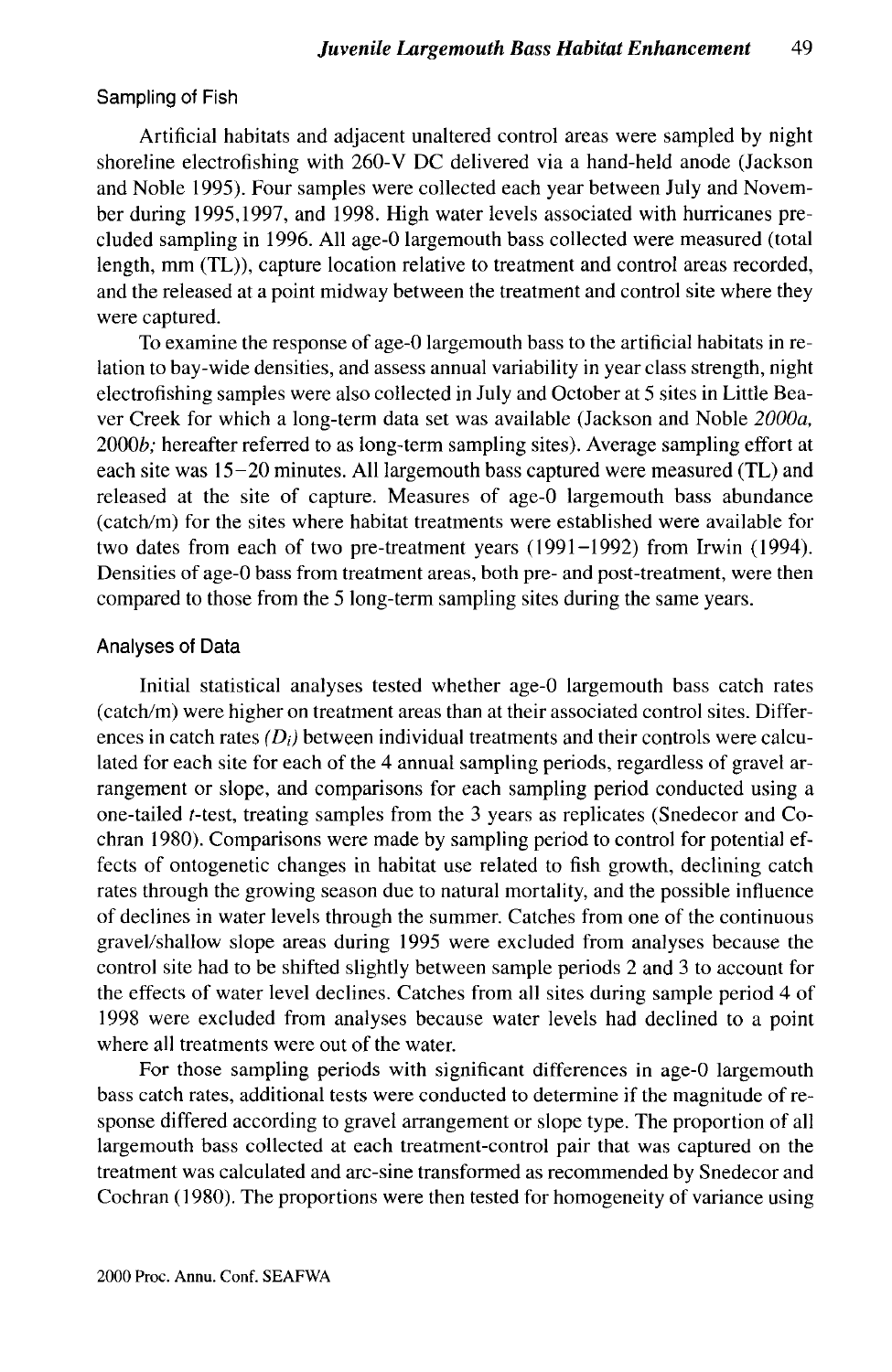#### Sampling of Fish

Artificial habitats and adjacent unaltered control areas were sampled by night shoreline electrofishing with 260-V DC delivered via a hand-held anode (Jackson and Noble 1995). Four samples were collected each year between July and November during 1995,1997, and 1998. High water levels associated with hurricanes precluded sampling in 1996. All age-0 largemouth bass collected were measured (total length, mm (TL)), capture location relative to treatment and control areas recorded, and the released at a point midway between the treatment and control site where they were captured.

To examine the response of age-0 largemouth bass to the artificial habitats in relation to bay-wide densities, and assess annual variability in year class strength, night electrofishing samples were also collected in July and October at 5 sites in Little Beaver Creek for which a long-term data set was available (Jackson and Noble *2000a,* 2000b; hereafter referred to as long-term sampling sites). Average sampling effort at each site was 15-20 minutes. All largemouth bass captured were measured (TL) and released at the site of capture. Measures of age-0 largemouth bass abundance (catch/m) for the sites where habitat treatments were established were available for two dates from each of two pre-treatment years (1991-1992) from Irwin (1994). Densities of age-0 bass from treatment areas, both pre- and post-treatment, were then compared to those from the 5 long-term sampling sites during the same years.

#### Analyses of Data

Initial statistical analyses tested whether age-0 largemouth bass catch rates (catch/m) were higher on treatment areas than at their associated control sites. Differences in catch rates *(Di)* between individual treatments and their controls were calculated for each site for each of the 4 annual sampling periods, regardless of gravel arrangement or slope, and comparisons for each sampling period conducted using a one-tailed f-test, treating samples from the 3 years as replicates (Snedecor and Cochran 1980). Comparisons were made by sampling period to control for potential effects of ontogenetic changes in habitat use related to fish growth, declining catch rates through the growing season due to natural mortality, and the possible influence of declines in water levels through the summer. Catches from one of the continuous gravel/shallow slope areas during 1995 were excluded from analyses because the control site had to be shifted slightly between sample periods 2 and 3 to account for the effects of water level declines. Catches from all sites during sample period 4 of 1998 were excluded from analyses because water levels had declined to a point where all treatments were out of the water.

For those sampling periods with significant differences in age-0 largemouth bass catch rates, additional tests were conducted to determine if the magnitude of response differed according to gravel arrangement or slope type. The proportion of all largemouth bass collected at each treatment-control pair that was captured on the treatment was calculated and arc-sine transformed as recommended by Snedecor and Cochran (1980). The proportions were then tested for homogeneity of variance using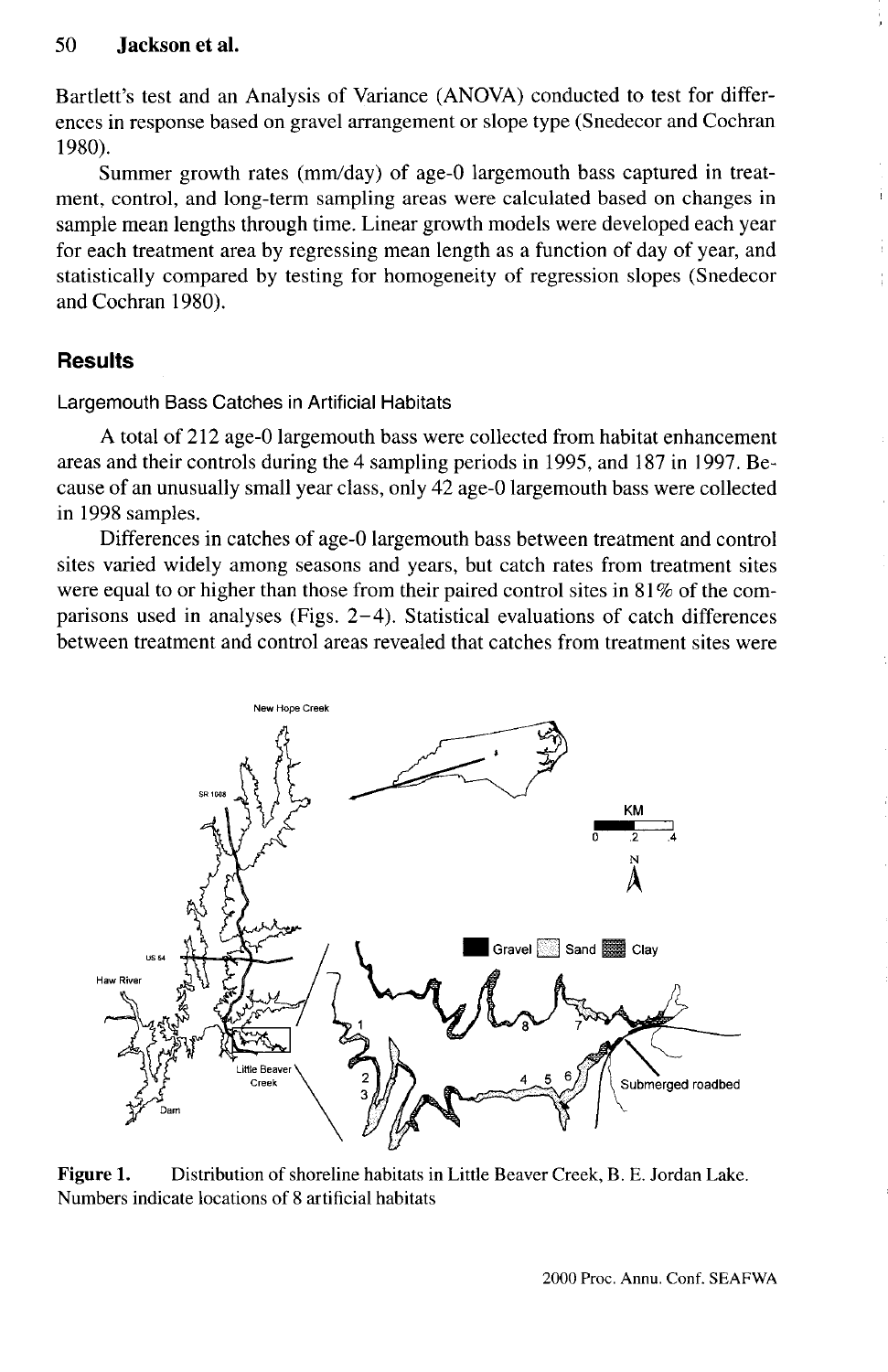Bartlett's test and an Analysis of Variance (ANOVA) conducted to test for differences in response based on gravel arrangement or slope type (Snedecor and Cochran 1980).

Summer growth rates (mm/day) of age-0 largemouth bass captured in treatment, control, and long-term sampling areas were calculated based on changes in sample mean lengths through time. Linear growth models were developed each year for each treatment area by regressing mean length as a function of day of year, and statistically compared by testing for homogeneity of regression slopes (Snedecor and Cochran 1980).

# **Results**

Largemouth Bass Catches in Artificial Habitats

A total of 212 age-0 largemouth bass were collected from habitat enhancement areas and their controls during the 4 sampling periods in 1995, and 187 in 1997. Because of an unusually small year class, only 42 age-0 largemouth bass were collected in 1998 samples.

Differences in catches of age-0 largemouth bass between treatment and control sites varied widely among seasons and years, but catch rates from treatment sites were equal to or higher than those from their paired control sites in 81 % of the comparisons used in analyses (Figs. 2-4). Statistical evaluations of catch differences between treatment and control areas revealed that catches from treatment sites were



**Figure 1.** Distribution of shoreline habitats in Little Beaver Creek, B. E. Jordan Lake. Numbers indicate locations of 8 artificial habitats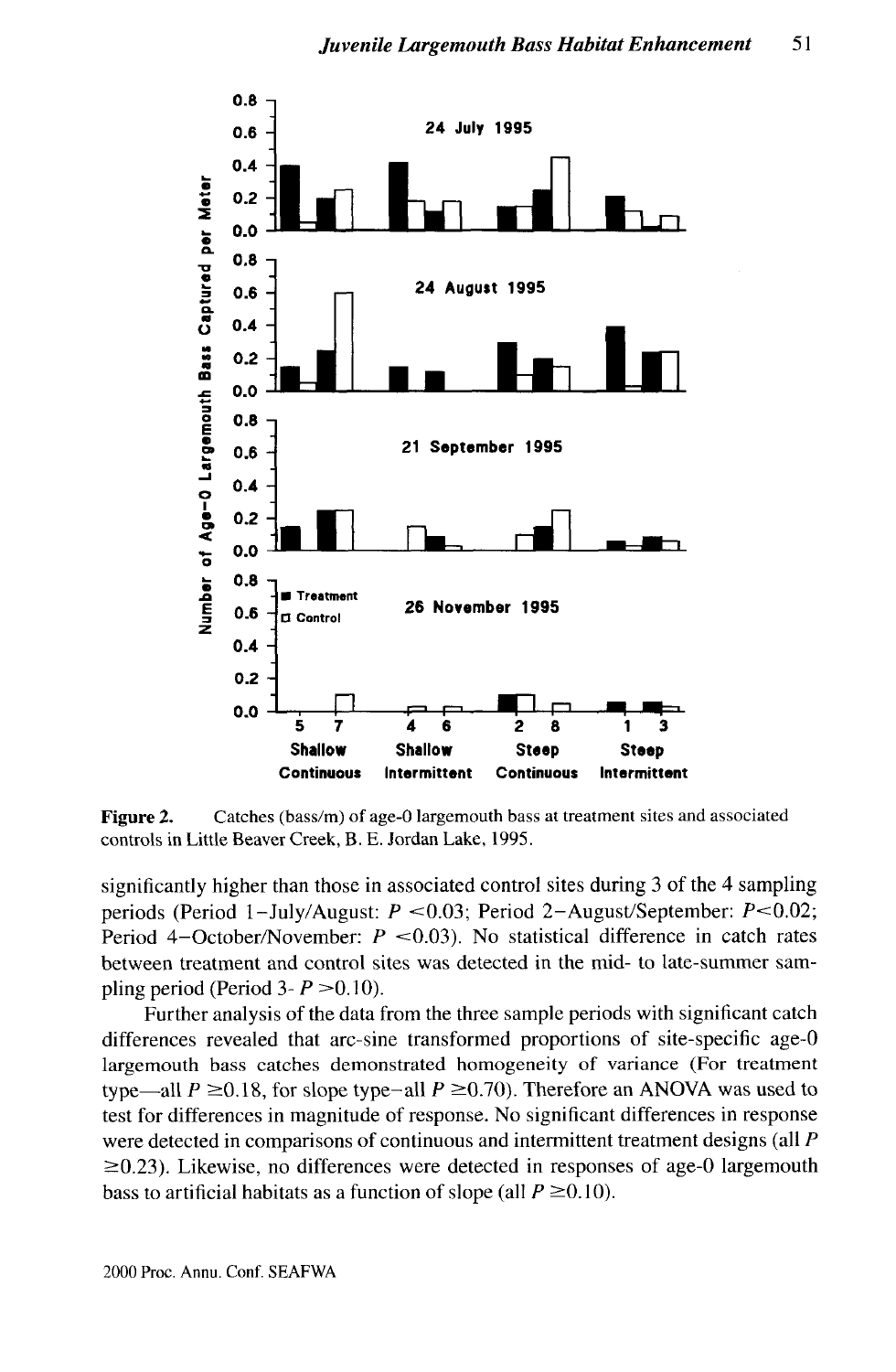

**Figure 2.** Catches (bass/m) of age-0 largemouth bass at treatment sites and associated controls in Little Beaver Creek, B. E. Jordan Lake, 1995.

significantly higher than those in associated control sites during 3 of the 4 sampling periods (Period 1-July/August:  $P < 0.03$ ; Period 2-August/September:  $P < 0.02$ ; Period 4-October/November:  $P < 0.03$ ). No statistical difference in catch rates between treatment and control sites was detected in the mid- to late-summer sampling period (Period  $3 - P > 0.10$ ).

Further analysis of the data from the three sample periods with significant catch differences revealed that arc-sine transformed proportions of site-specific age-0 largemouth bass catches demonstrated homogeneity of variance (For treatment type—all  $P \ge 0.18$ , for slope type-all  $P \ge 0.70$ ). Therefore an ANOVA was used to test for differences in magnitude of response. No significant differences in response were detected in comparisons of continuous and intermittent treatment designs (all *P*  $\geq$ 0.23). Likewise, no differences were detected in responses of age-0 largemouth bass to artificial habitats as a function of slope (all  $P \ge 0.10$ ).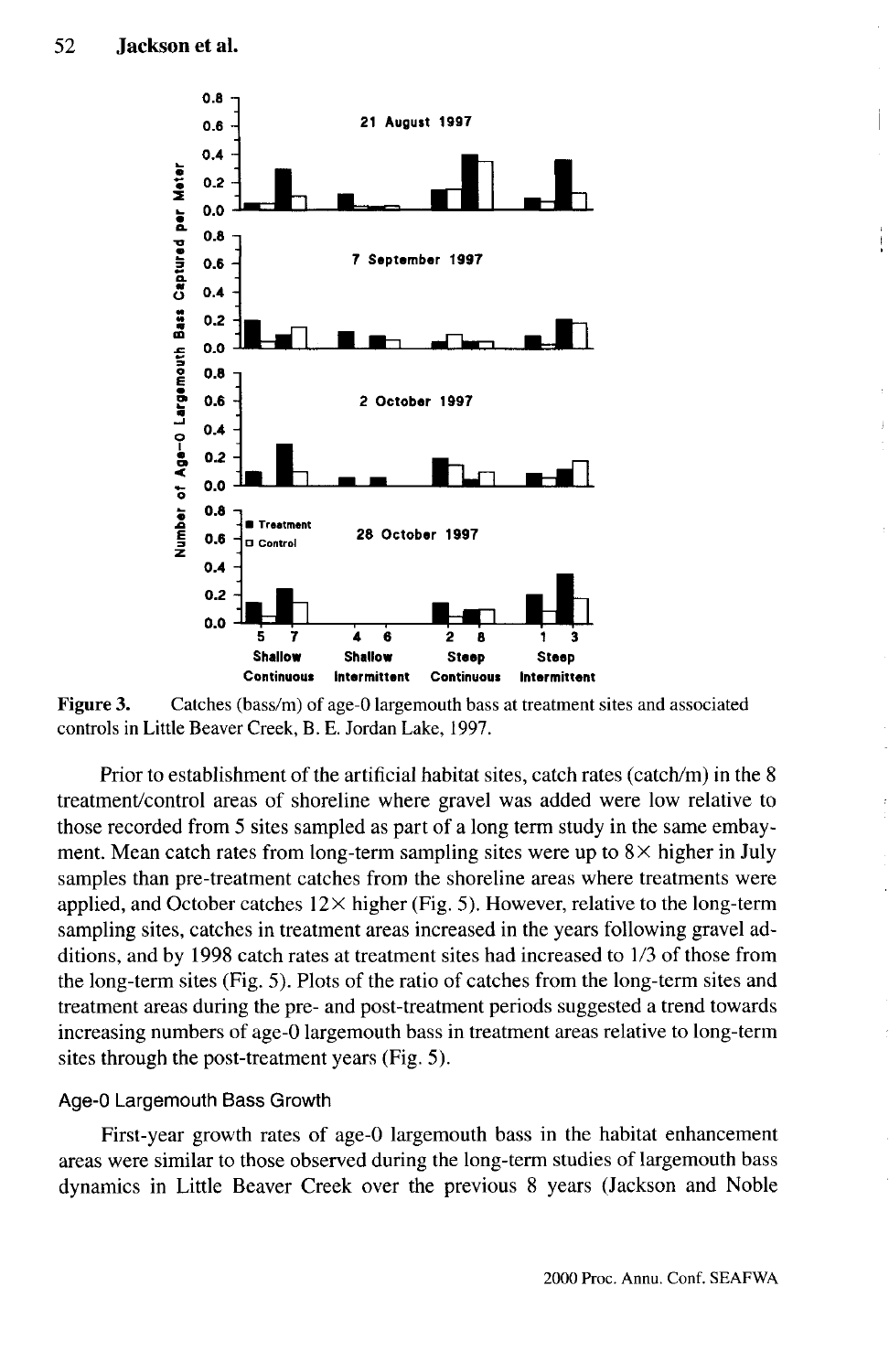

**Figure 3.** Catches (bass/m) of age-0 largemouth bass at treatment sites and associated controls in Little Beaver Creek, B. E. Jordan Lake, 1997.

Prior to establishment of the artificial habitat sites, catch rates (catch/m) in the 8 treatment/control areas of shoreline where gravel was added were low relative to those recorded from 5 sites sampled as part of a long term study in the same embayment. Mean catch rates from long-term sampling sites were up to  $8\times$  higher in July samples than pre-treatment catches from the shoreline areas where treatments were applied, and October catches  $12 \times$  higher (Fig. 5). However, relative to the long-term sampling sites, catches in treatment areas increased in the years following gravel additions, and by 1998 catch rates at treatment sites had increased to 1/3 of those from the long-term sites (Fig. 5). Plots of the ratio of catches from the long-term sites and treatment areas during the pre- and post-treatment periods suggested a trend towards increasing numbers of age-0 largemouth bass in treatment areas relative to long-term sites through the post-treatment years (Fig. 5).

#### Age-0 Largemouth Bass Growth

First-year growth rates of age-0 largemouth bass in the habitat enhancement areas were similar to those observed during the long-term studies of largemouth bass dynamics in Little Beaver Creek over the previous 8 years (Jackson and Noble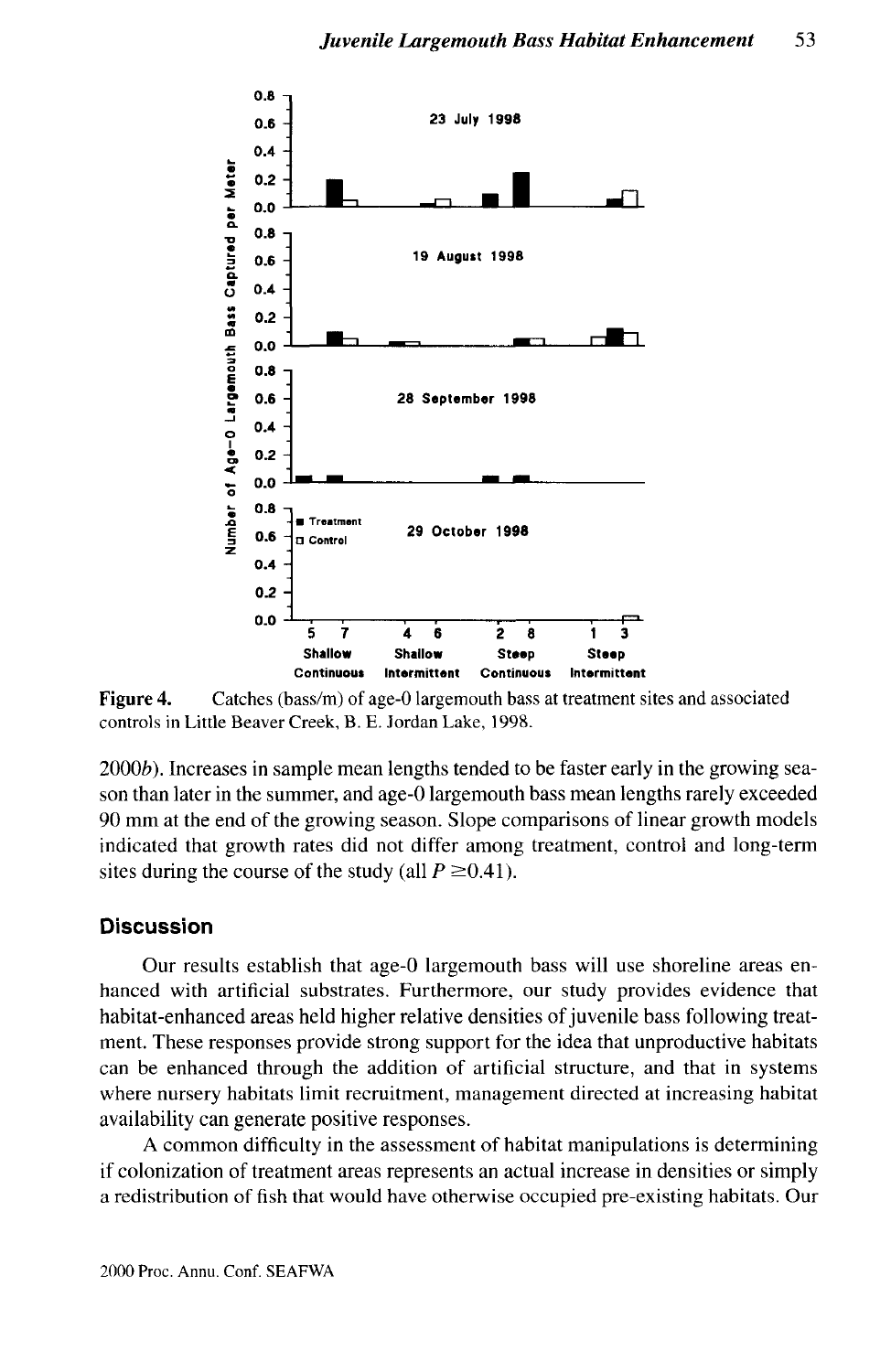

**Figure 4.** Catches (bass/m) of age-0 largemouth bass at treatment sites and associated controls in Little Beaver Creek, B. E. Jordan Lake, 1998.

 $2000<sub>b</sub>$ ). Increases in sample mean lengths tended to be faster early in the growing season than later in the summer, and age-0 largemouth bass mean lengths rarely exceeded 90 mm at the end of the growing season. Slope comparisons of linear growth models indicated that growth rates did not differ among treatment, control and long-term sites during the course of the study (all  $P \ge 0.41$ ).

### **Discussion**

Our results establish that age-0 largemouth bass will use shoreline areas enhanced with artificial substrates. Furthermore, our study provides evidence that habitat-enhanced areas held higher relative densities of juvenile bass following treatment. These responses provide strong support for the idea that unproductive habitats can be enhanced through the addition of artificial structure, and that in systems where nursery habitats limit recruitment, management directed at increasing habitat availability can generate positive responses.

A common difficulty in the assessment of habitat manipulations is determining if colonization of treatment areas represents an actual increase in densities or simply a redistribution of fish that would have otherwise occupied pre-existing habitats. Our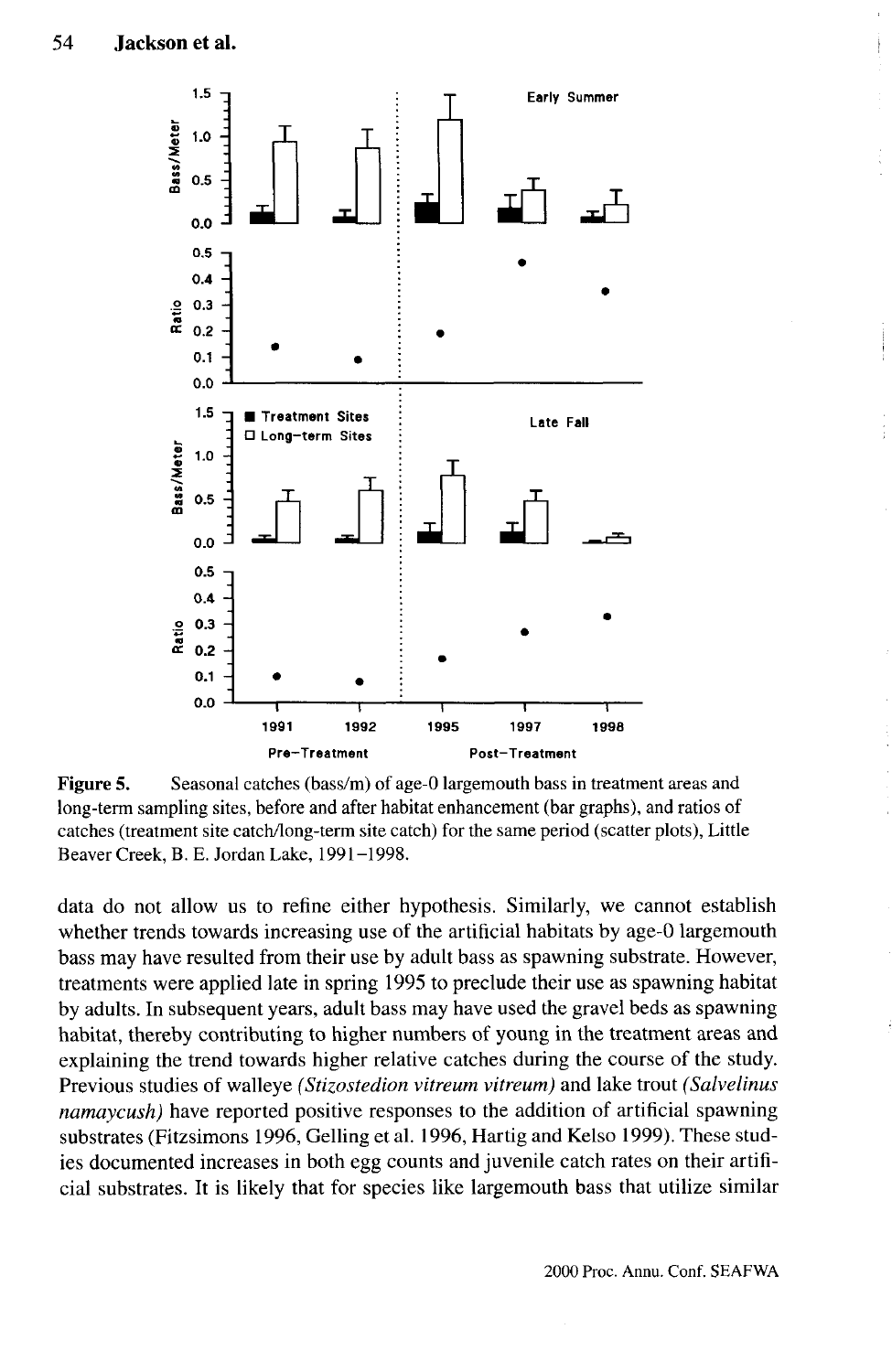

**Figure 5.** Seasonal catches (bass/m) of age-0 largemouth bass in treatment areas and long-term sampling sites, before and after habitat enhancement (bar graphs), and ratios of catches (treatment site catch/long-term site catch) for the same period (scatter plots), Little Beaver Creek, B. E. Jordan Lake, 1991-1998.

data do not allow us to refine either hypothesis. Similarly, we cannot establish whether trends towards increasing use of the artificial habitats by age-0 largemouth bass may have resulted from their use by adult bass as spawning substrate. However, treatments were applied late in spring 1995 to preclude their use as spawning habitat by adults. In subsequent years, adult bass may have used the gravel beds as spawning habitat, thereby contributing to higher numbers of young in the treatment areas and explaining the trend towards higher relative catches during the course of the study. Previous studies of walleye *(Stizostedion vitreum vitreum)* and lake trout *(Salvelinus namaycush)* have reported positive responses to the addition of artificial spawning substrates (Fitzsimons 1996, Gelling et al. 1996, Hartig and Kelso 1999). These studies documented increases in both egg counts and juvenile catch rates on their artificial substrates. It is likely that for species like largemouth bass that utilize similar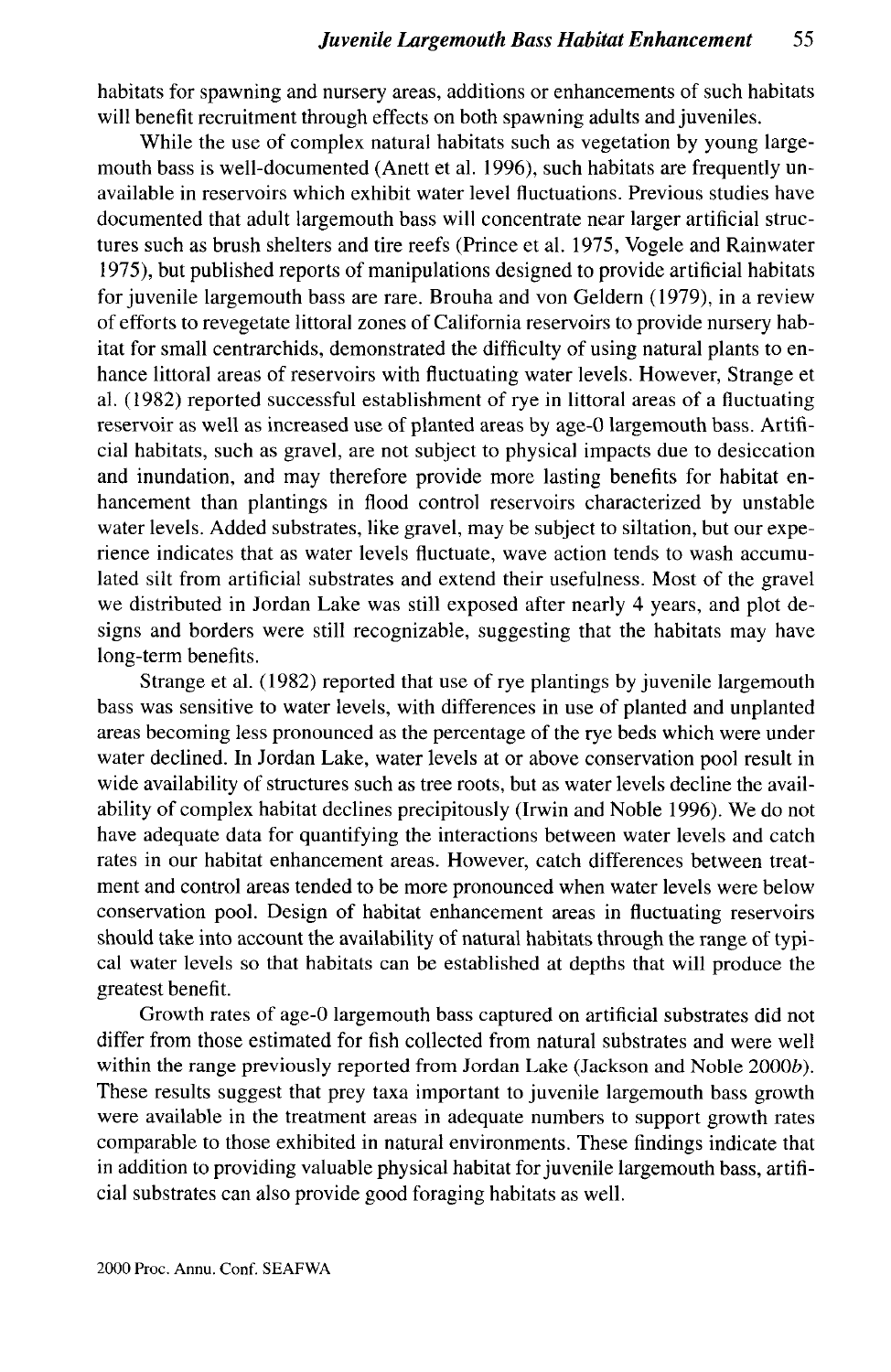habitats for spawning and nursery areas, additions or enhancements of such habitats will benefit recruitment through effects on both spawning adults and juveniles.

While the use of complex natural habitats such as vegetation by young largemouth bass is well-documented (Anett et al. 1996), such habitats are frequently unavailable in reservoirs which exhibit water level fluctuations. Previous studies have documented that adult largemouth bass will concentrate near larger artificial structures such as brush shelters and tire reefs (Prince et al. 1975, Vogele and Rainwater 1975), but published reports of manipulations designed to provide artificial habitats for juvenile largemouth bass are rare. Brouha and von Geldern (1979), in a review of efforts to revegetate littoral zones of California reservoirs to provide nursery habitat for small centrarchids, demonstrated the difficulty of using natural plants to enhance littoral areas of reservoirs with fluctuating water levels. However, Strange et al. (1982) reported successful establishment of rye in littoral areas of a fluctuating reservoir as well as increased use of planted areas by age-0 largemouth bass. Artificial habitats, such as gravel, are not subject to physical impacts due to desiccation and inundation, and may therefore provide more lasting benefits for habitat enhancement than plantings in flood control reservoirs characterized by unstable water levels. Added substrates, like gravel, may be subject to siltation, but our experience indicates that as water levels fluctuate, wave action tends to wash accumulated silt from artificial substrates and extend their usefulness. Most of the gravel we distributed in Jordan Lake was still exposed after nearly 4 years, and plot designs and borders were still recognizable, suggesting that the habitats may have long-term benefits.

Strange et al. (1982) reported that use of rye plantings by juvenile largemouth bass was sensitive to water levels, with differences in use of planted and unplanted areas becoming less pronounced as the percentage of the rye beds which were under water declined. In Jordan Lake, water levels at or above conservation pool result in wide availability of structures such as tree roots, but as water levels decline the availability of complex habitat declines precipitously (Irwin and Noble 1996). We do not have adequate data for quantifying the interactions between water levels and catch rates in our habitat enhancement areas. However, catch differences between treatment and control areas tended to be more pronounced when water levels were below conservation pool. Design of habitat enhancement areas in fluctuating reservoirs should take into account the availability of natural habitats through the range of typical water levels so that habitats can be established at depths that will produce the greatest benefit.

Growth rates of age-0 largemouth bass captured on artificial substrates did not differ from those estimated for fish collected from natural substrates and were well within the range previously reported from Jordan Lake (Jackson and Noble 2000b). These results suggest that prey taxa important to juvenile largemouth bass growth were available in the treatment areas in adequate numbers to support growth rates comparable to those exhibited in natural environments. These findings indicate that in addition to providing valuable physical habitat for juvenile largemouth bass, artificial substrates can also provide good foraging habitats as well.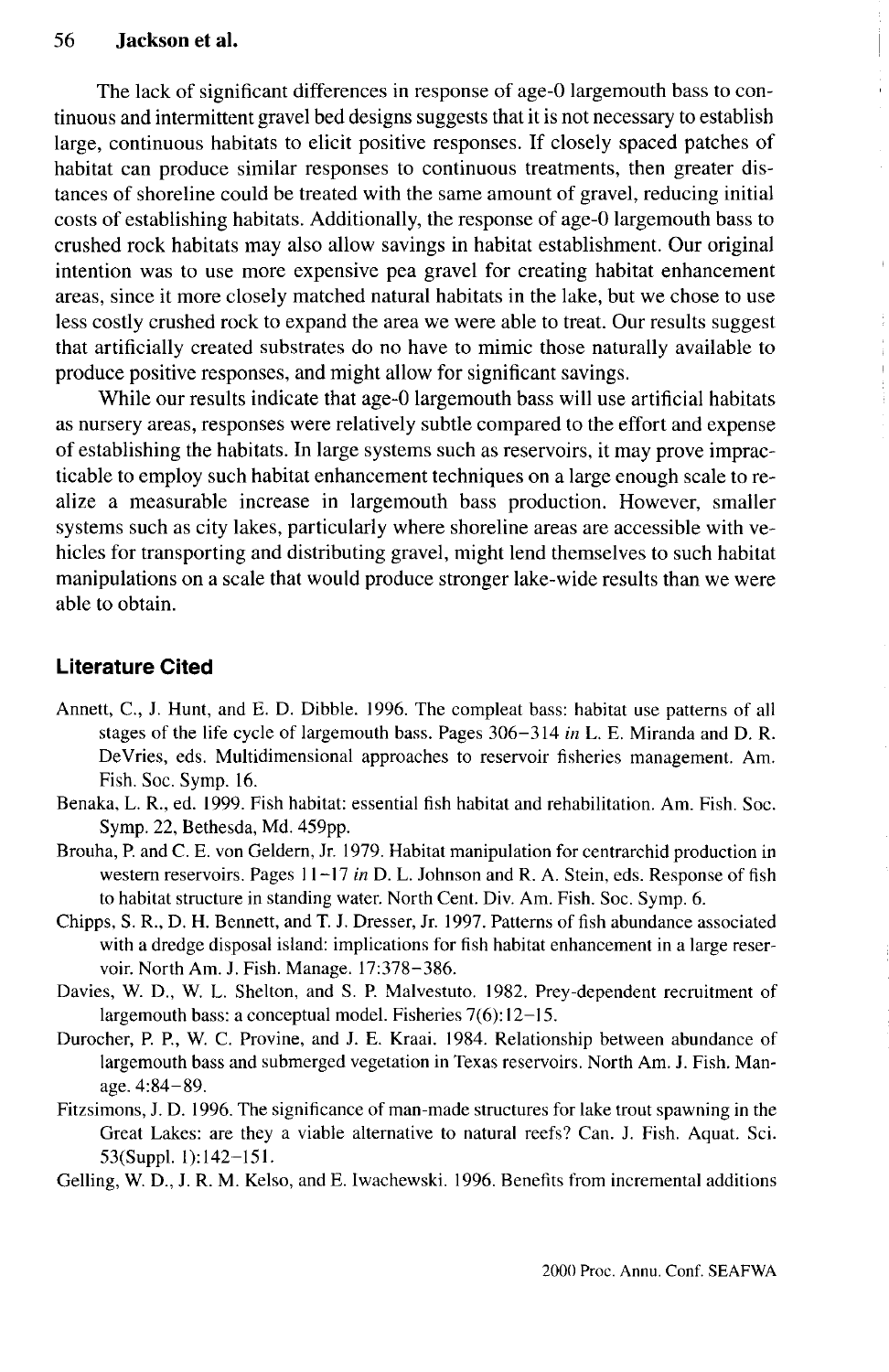The lack of significant differences in response of age-0 largemouth bass to continuous and intermittent gravel bed designs suggests that it is not necessary to establish large, continuous habitats to elicit positive responses. If closely spaced patches of habitat can produce similar responses to continuous treatments, then greater distances of shoreline could be treated with the same amount of gravel, reducing initial costs of establishing habitats. Additionally, the response of age-0 largemouth bass to crushed rock habitats may also allow savings in habitat establishment. Our original intention was to use more expensive pea gravel for creating habitat enhancement areas, since it more closely matched natural habitats in the lake, but we chose to use less costly crushed rock to expand the area we were able to treat. Our results suggest that artificially created substrates do no have to mimic those naturally available to produce positive responses, and might allow for significant savings.

While our results indicate that age-0 largemouth bass will use artificial habitats as nursery areas, responses were relatively subtle compared to the effort and expense of establishing the habitats. In large systems such as reservoirs, it may prove impracticable to employ such habitat enhancement techniques on a large enough scale to realize a measurable increase in largemouth bass production. However, smaller systems such as city lakes, particularly where shoreline areas are accessible with vehicles for transporting and distributing gravel, might lend themselves to such habitat manipulations on a scale that would produce stronger lake-wide results than we were able to obtain.

# **Literature Cited**

- Annett, C, J. Hunt, and E. D. Dibble. 1996. The compleat bass: habitat use patterns of all stages of the life cycle of largemouth bass. Pages 306-314 *in* L. E. Miranda and D. R. DeVries, eds. Multidimensional approaches to reservoir fisheries management. Am. Fish. Soc. Symp. 16.
- Benaka, L. R., ed. 1999. Fish habitat: essential fish habitat and rehabilitation. Am. Fish. Soc. Symp. 22, Bethesda, Md. 459pp.
- Brouha, P. and C. E. von Geldern, Jr. 1979. Habitat manipulation for centrarchid production in western reservoirs. Pages 11-17 *in* D. L. Johnson and R. A. Stein, eds. Response of fish to habitat structure in standing water. North Cent. Div. Am. Fish. Soc. Symp. 6.
- Chipps, S. R., D. H. Bennett, and T. J. Dresser, Jr. 1997. Patterns of fish abundance associated with a dredge disposal island: implications for fish habitat enhancement in a large reservoir. North Am. J. Fish. Manage. 17:378-386.
- Davies, W. D., W. L. Shelton, and S. P. Malvestuto. 1982. Prey-dependent recruitment of largemouth bass: a conceptual model. Fisheries 7(6):12-15.
- Durocher, P. P., W. C. Provine, and J. E. Kraai. 1984. Relationship between abundance of largemouth bass and submerged vegetation in Texas reservoirs. North Am. J. Fish. Manage. 4:84-89.
- Fitzsimons, J. D. 1996. The significance of man-made structures for lake trout spawning in the Great Lakes: are they a viable alternative to natural reefs? Can. J. Fish. Aquat. Sci. 53(Suppl. 1):142-151.

Gelling, W. D., J. R. M. Kelso, and E. Iwachewski. 1996. Benefits from incremental additions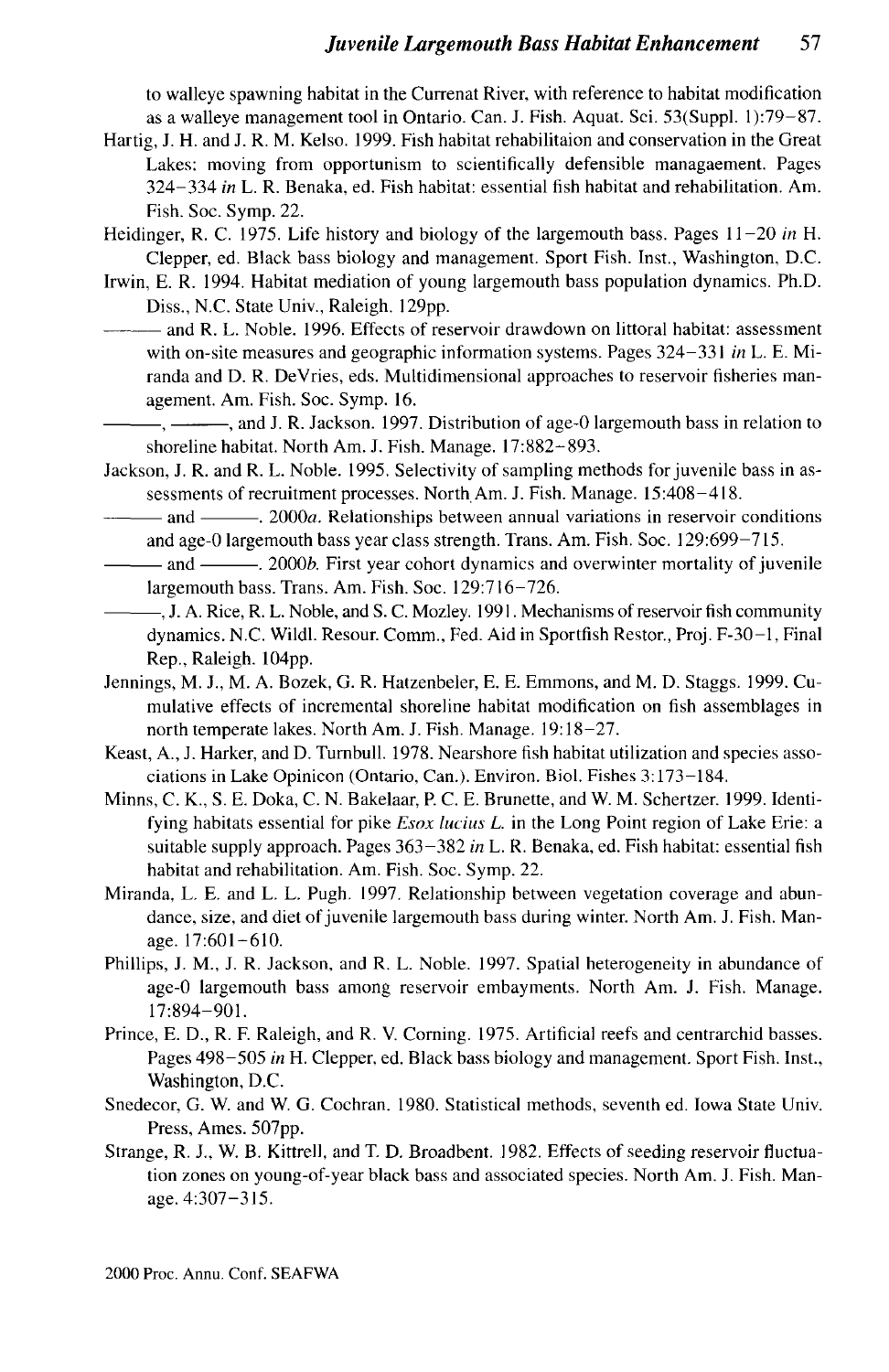to walleye spawning habitat in the Currenat River, with reference to habitat modification as a walleye management tool in Ontario. Can. J. Fish. Aquat. Sci. 53(Suppl. 1):79—87.

- Hartig, J. H. and J. R. M. Kelso. 1999. Fish habitat rehabilitaion and conservation in the Great Lakes: moving from opportunism to scientifically defensible managaement. Pages 324-334 *in* L. R. Benaka, ed. Fish habitat: essential fish habitat and rehabilitation. Am. Fish. Soc. Symp. 22.
- Heidinger, R. C. 1975. Life history and biology of the largemouth bass. Pages 11-20 *in* H. Clepper, ed. Black bass biology and management. Sport Fish. Inst., Washington, D.C.
- Irwin, E. R. 1994. Habitat mediation of young largemouth bass population dynamics. Ph.D. Diss., N.C. State Univ., Raleigh. 129pp.
- and R. L. Noble. 1996. Effects of reservoir drawdown on littoral habitat: assessment with on-site measures and geographic information systems. Pages 324-331 *in* L. E. Miranda and D. R. DeVries, eds. Multidimensional approaches to reservoir fisheries management. Am. Fish. Soc. Symp. 16.
	- $-$ ,  $-$ , and J. R. Jackson. 1997. Distribution of age-0 largemouth bass in relation to shoreline habitat. North Am. J. Fish. Manage. 17:882-893.
- Jackson, J. R. and R. L. Noble. 1995. Selectivity of sampling methods for juvenile bass in assessments of recruitment processes. North Am. J. Fish. Manage. 15:408-418.
- and . 2000a. Relationships between annual variations in reservoir conditions and age-0 largemouth bass year class strength. Trans. Am. Fish. Soc. 129:699-715.
- and . 2000&. First year cohort dynamics and overwinter mortality of juvenile largemouth bass. Trans. Am. Fish. Soc. 129:716-726.
- -, J. A. Rice, R. L. Noble, and S. C. Mozley. 1991. Mechanisms of reservoir fish community dynamics. N.C. Wildl. Resour. Comm., Fed. Aid in Sportfish Restor., Proj. F-30-1, Final Rep., Raleigh. 104pp.
- Jennings, M. J., M. A. Bozek, G. R. Hatzenbeler, E. E. Emmons, and M. D. Staggs. 1999. Cumulative effects of incremental shoreline habitat modification on fish assemblages in north temperate lakes. North Am. J. Fish. Manage. 19:18-27.
- Keast, A., J. Harker, and D. Turnbull. 1978. Nearshore fish habitat utilization and species associations in Lake Opinicon (Ontario, Can.). Environ. Biol. Fishes 3:173-184.
- Minns, C. K., S. E. Doka, C. N. Bakelaar, P. C. E. Brunette, and W. M. Schertzer. 1999. Identifying habitats essential for pike *Esox lucius L.* in the Long Point region of Lake Erie: a suitable supply approach. Pages 363-382 *in* L. R. Benaka, ed. Fish habitat: essential fish habitat and rehabilitation. Am. Fish. Soc. Symp. 22.
- Miranda, L. E. and L. L. Pugh. 1997. Relationship between vegetation coverage and abundance, size, and diet of juvenile largemouth bass during winter. North Am. J. Fish. Manage. 17:601-610.
- Phillips, J. M., J. R. Jackson, and R. L. Noble. 1997. Spatial heterogeneity in abundance of age-0 largemouth bass among reservoir embayments. North Am. J. Fish. Manage. 17:894-901.
- Prince, E. D., R. F. Raleigh, and R. V. Corning. 1975. Artificial reefs and centrarchid basses. Pages 498-505 *in* H. Clepper, ed. Black bass biology and management. Sport Fish. Inst., Washington, D.C.
- Snedecor, G. W. and W. G. Cochran. 1980. Statistical methods, seventh ed. Iowa State Univ. Press, Ames. 507pp.
- Strange, R. J., W. B. Kittrell, and T. D. Broadbent. 1982. Effects of seeding reservoir fluctuation zones on young-of-year black bass and associated species. North Am. J. Fish. Manage. 4:307-315.